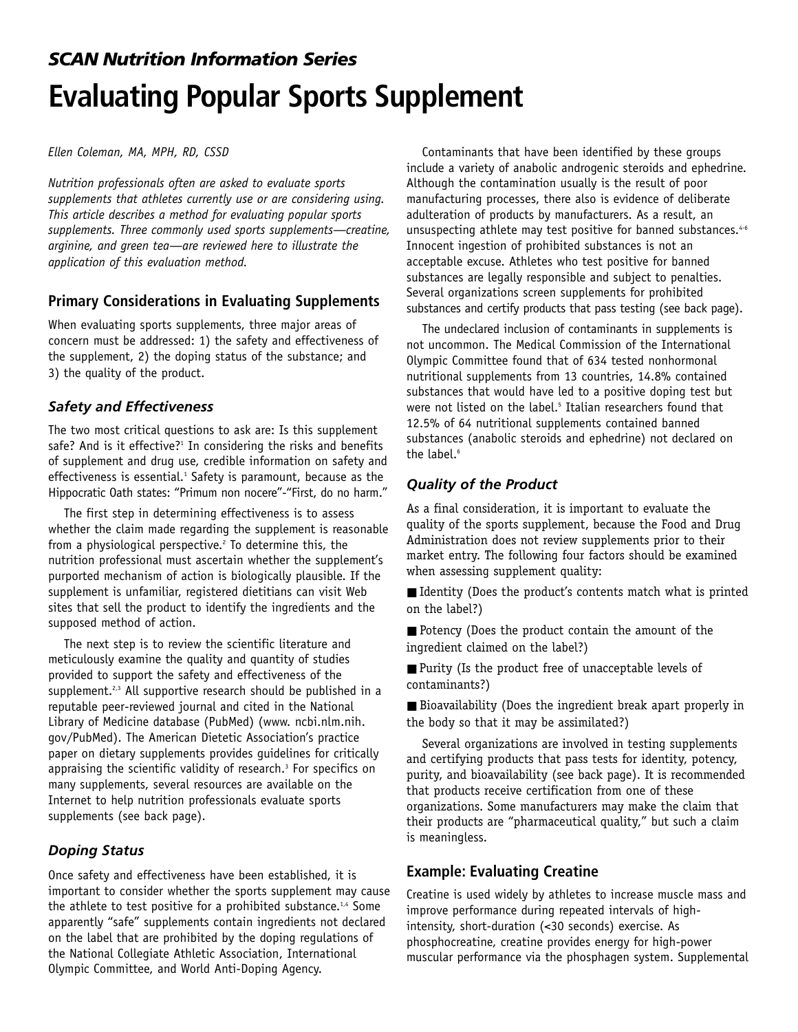# *SCAN Nutrition Information Series* **Evaluating Popular Sports Supplement**

*Ellen Coleman, MA, MPH, RD, CSSD* 

*Nutrition professionals often are asked to evaluate sports supplements that athletes currently use or are considering using. This article describes a method for evaluating popular sports supplements. Three commonly used sports supplements—creatine, arginine, and green tea—are reviewed here to illustrate the application of this evaluation method.*

## **Primary Considerations in Evaluating Supplements**

When evaluating sports supplements, three major areas of concern must be addressed: 1) the safety and effectiveness of the supplement, 2) the doping status of the substance; and 3) the quality of the product.

## *Safety and Effectiveness*

The two most critical questions to ask are: Is this supplement safe? And is it effective? $1$  In considering the risks and benefits of supplement and drug use, credible information on safety and effectiveness is essential.<sup>1</sup> Safety is paramount, because as the Hippocratic Oath states: "Primum non nocere"-"First, do no harm."

The first step in determining effectiveness is to assess whether the claim made regarding the supplement is reasonable from a physiological perspective. $2$  To determine this, the nutrition professional must ascertain whether the supplement's purported mechanism of action is biologically plausible. If the supplement is unfamiliar, registered dietitians can visit Web sites that sell the product to identify the ingredients and the supposed method of action.

The next step is to review the scientific literature and meticulously examine the quality and quantity of studies provided to support the safety and effectiveness of the supplement. $2,3$  All supportive research should be published in a reputable peer-reviewed journal and cited in the National Library of Medicine database (PubMed) (www. ncbi.nlm.nih. gov/PubMed). The American Dietetic Association's practice paper on dietary supplements provides guidelines for critically appraising the scientific validity of research.<sup>3</sup> For specifics on many supplements, several resources are available on the Internet to help nutrition professionals evaluate sports supplements (see back page).

#### *Doping Status*

Once safety and effectiveness have been established, it is important to consider whether the sports supplement may cause the athlete to test positive for a prohibited substance.<sup>1,4</sup> Some apparently "safe" supplements contain ingredients not declared on the label that are prohibited by the doping regulations of the National Collegiate Athletic Association, International Olympic Committee, and World Anti-Doping Agency.

Contaminants that have been identified by these groups include a variety of anabolic androgenic steroids and ephedrine. Although the contamination usually is the result of poor manufacturing processes, there also is evidence of deliberate adulteration of products by manufacturers. As a result, an unsuspecting athlete may test positive for banned substances.<sup>4-6</sup> Innocent ingestion of prohibited substances is not an acceptable excuse. Athletes who test positive for banned substances are legally responsible and subject to penalties. Several organizations screen supplements for prohibited substances and certify products that pass testing (see back page).

The undeclared inclusion of contaminants in supplements is not uncommon. The Medical Commission of the International Olympic Committee found that of 634 tested nonhormonal nutritional supplements from 13 countries, 14.8% contained substances that would have led to a positive doping test but were not listed on the label.<sup>5</sup> Italian researchers found that 12.5% of 64 nutritional supplements contained banned substances (anabolic steroids and ephedrine) not declared on the label. $6$ 

## *Quality of the Product*

As a final consideration, it is important to evaluate the quality of the sports supplement, because the Food and Drug Administration does not review supplements prior to their market entry. The following four factors should be examined when assessing supplement quality:

■ Identity (Does the product's contents match what is printed on the label?)

■ Potency (Does the product contain the amount of the ingredient claimed on the label?)

■ Purity (Is the product free of unacceptable levels of contaminants?)

■ Bioavailability (Does the ingredient break apart properly in the body so that it may be assimilated?)

Several organizations are involved in testing supplements and certifying products that pass tests for identity, potency, purity, and bioavailability (see back page). It is recommended that products receive certification from one of these organizations. Some manufacturers may make the claim that their products are "pharmaceutical quality," but such a claim is meaningless.

## **Example: Evaluating Creatine**

Creatine is used widely by athletes to increase muscle mass and improve performance during repeated intervals of highintensity, short-duration (<30 seconds) exercise. As phosphocreatine, creatine provides energy for high-power muscular performance via the phosphagen system. Supplemental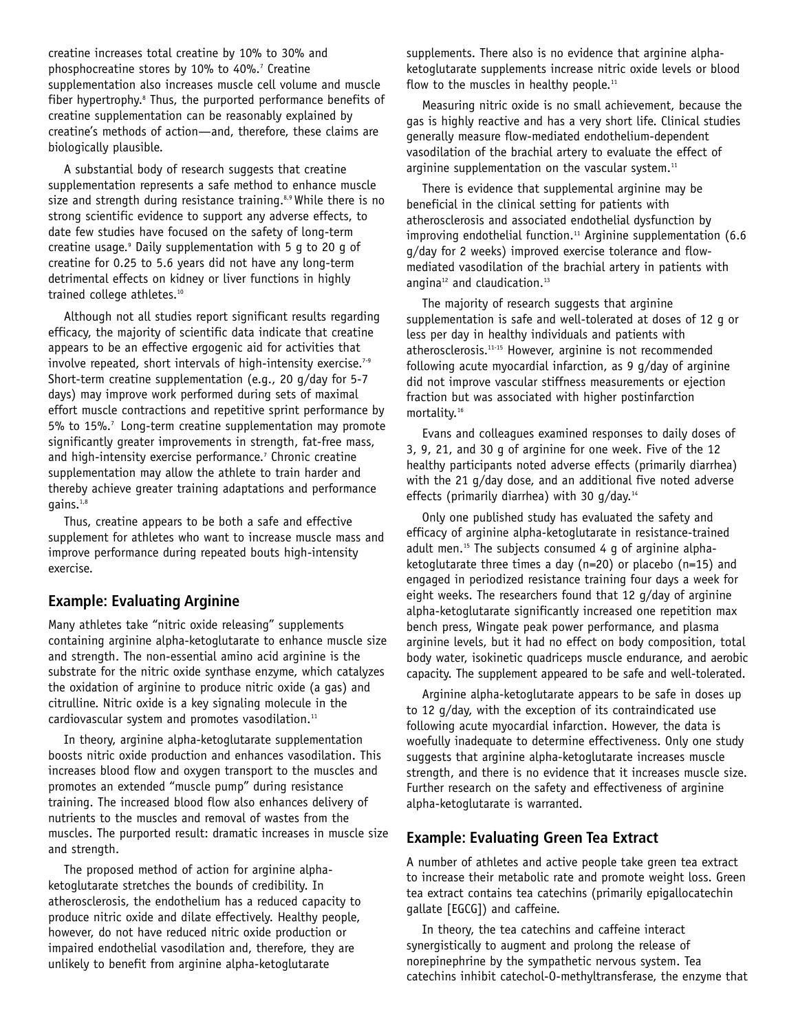creatine increases total creatine by 10% to 30% and phosphocreatine stores by 10% to 40%.<sup>7</sup> Creatine supplementation also increases muscle cell volume and muscle fiber hypertrophy.<sup>8</sup> Thus, the purported performance benefits of creatine supplementation can be reasonably explained by creatine's methods of action—and, therefore, these claims are biologically plausible.

A substantial body of research suggests that creatine supplementation represents a safe method to enhance muscle size and strength during resistance training.<sup>8,9</sup> While there is no strong scientific evidence to support any adverse effects, to date few studies have focused on the safety of long-term creatine usage. $9$  Daily supplementation with 5 g to 20 g of creatine for 0.25 to 5.6 years did not have any long-term detrimental effects on kidney or liver functions in highly trained college athletes.<sup>10</sup>

Although not all studies report significant results regarding efficacy, the majority of scientific data indicate that creatine appears to be an effective ergogenic aid for activities that involve repeated, short intervals of high-intensity exercise.<sup>7-9</sup> Short-term creatine supplementation (e.g., 20 g/day for 5-7 days) may improve work performed during sets of maximal effort muscle contractions and repetitive sprint performance by 5% to 15%.<sup>7</sup> Long-term creatine supplementation may promote significantly greater improvements in strength, fat-free mass, and high-intensity exercise performance.<sup>7</sup> Chronic creatine supplementation may allow the athlete to train harder and thereby achieve greater training adaptations and performance gains.1,8

Thus, creatine appears to be both a safe and effective supplement for athletes who want to increase muscle mass and improve performance during repeated bouts high-intensity exercise.

## **Example: Evaluating Arginine**

Many athletes take "nitric oxide releasing" supplements containing arginine alpha-ketoglutarate to enhance muscle size and strength. The non-essential amino acid arginine is the substrate for the nitric oxide synthase enzyme, which catalyzes the oxidation of arginine to produce nitric oxide (a gas) and citrulline. Nitric oxide is a key signaling molecule in the cardiovascular system and promotes vasodilation.<sup>11</sup>

In theory, arginine alpha-ketoglutarate supplementation boosts nitric oxide production and enhances vasodilation. This increases blood flow and oxygen transport to the muscles and promotes an extended "muscle pump" during resistance training. The increased blood flow also enhances delivery of nutrients to the muscles and removal of wastes from the muscles. The purported result: dramatic increases in muscle size and strength.

The proposed method of action for arginine alphaketoglutarate stretches the bounds of credibility. In atherosclerosis, the endothelium has a reduced capacity to produce nitric oxide and dilate effectively. Healthy people, however, do not have reduced nitric oxide production or impaired endothelial vasodilation and, therefore, they are unlikely to benefit from arginine alpha-ketoglutarate

supplements. There also is no evidence that arginine alphaketoglutarate supplements increase nitric oxide levels or blood flow to the muscles in healthy people. $11$ 

Measuring nitric oxide is no small achievement, because the gas is highly reactive and has a very short life. Clinical studies generally measure flow-mediated endothelium-dependent vasodilation of the brachial artery to evaluate the effect of arginine supplementation on the vascular system. $11$ 

There is evidence that supplemental arginine may be beneficial in the clinical setting for patients with atherosclerosis and associated endothelial dysfunction by improving endothelial function.<sup>11</sup> Arginine supplementation (6.6 g/day for 2 weeks) improved exercise tolerance and flowmediated vasodilation of the brachial artery in patients with angina<sup>12</sup> and claudication.<sup>13</sup>

The majority of research suggests that arginine supplementation is safe and well-tolerated at doses of 12 g or less per day in healthy individuals and patients with atherosclerosis.11-15 However, arginine is not recommended following acute myocardial infarction, as 9 g/day of arginine did not improve vascular stiffness measurements or ejection fraction but was associated with higher postinfarction mortality.16

Evans and colleagues examined responses to daily doses of 3, 9, 21, and 30 g of arginine for one week. Five of the 12 healthy participants noted adverse effects (primarily diarrhea) with the 21 g/day dose, and an additional five noted adverse effects (primarily diarrhea) with 30  $q$ /day.<sup>14</sup>

Only one published study has evaluated the safety and efficacy of arginine alpha-ketoglutarate in resistance-trained adult men.<sup>15</sup> The subjects consumed 4  $q$  of arginine alphaketoglutarate three times a day (n=20) or placebo (n=15) and engaged in periodized resistance training four days a week for eight weeks. The researchers found that 12 g/day of arginine alpha-ketoglutarate significantly increased one repetition max bench press, Wingate peak power performance, and plasma arginine levels, but it had no effect on body composition, total body water, isokinetic quadriceps muscle endurance, and aerobic capacity. The supplement appeared to be safe and well-tolerated.

Arginine alpha-ketoglutarate appears to be safe in doses up to 12 g/day, with the exception of its contraindicated use following acute myocardial infarction. However, the data is woefully inadequate to determine effectiveness. Only one study suggests that arginine alpha-ketoglutarate increases muscle strength, and there is no evidence that it increases muscle size. Further research on the safety and effectiveness of arginine alpha-ketoglutarate is warranted.

## **Example: Evaluating Green Tea Extract**

A number of athletes and active people take green tea extract to increase their metabolic rate and promote weight loss. Green tea extract contains tea catechins (primarily epigallocatechin gallate [EGCG]) and caffeine.

In theory, the tea catechins and caffeine interact synergistically to augment and prolong the release of norepinephrine by the sympathetic nervous system. Tea catechins inhibit catechol-O-methyltransferase, the enzyme that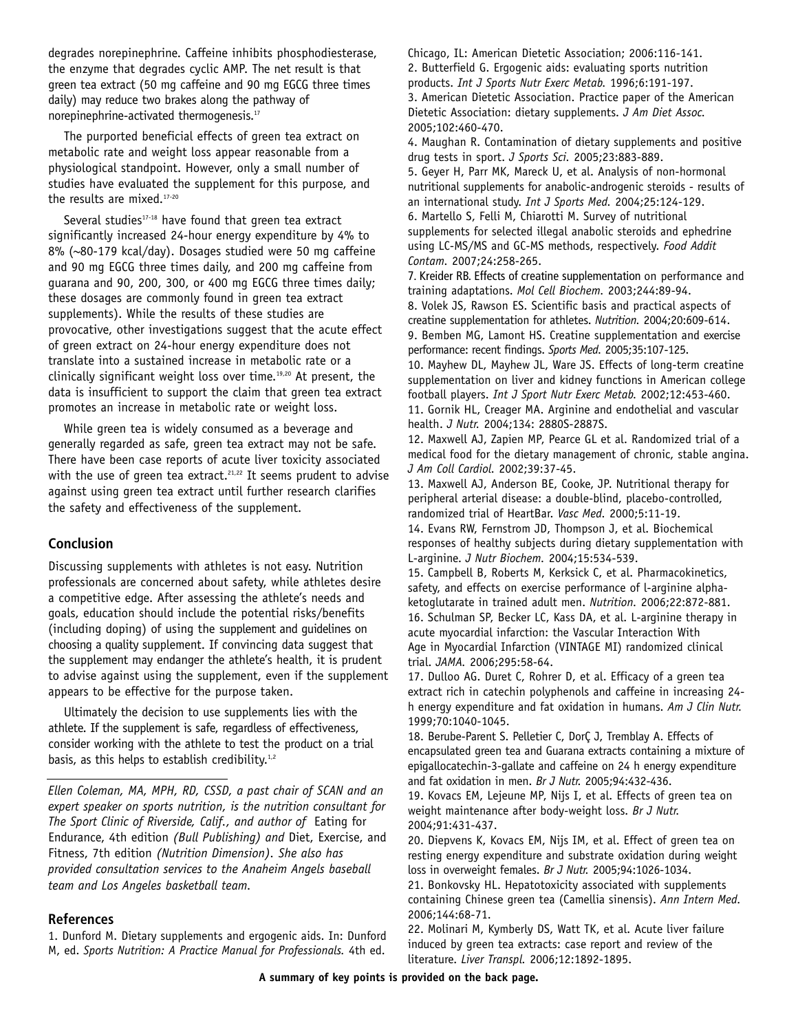degrades norepinephrine. Caffeine inhibits phosphodiesterase, the enzyme that degrades cyclic AMP. The net result is that green tea extract (50 mg caffeine and 90 mg EGCG three times daily) may reduce two brakes along the pathway of norepinephrine-activated thermogenesis.<sup>17</sup>

The purported beneficial effects of green tea extract on metabolic rate and weight loss appear reasonable from a physiological standpoint. However, only a small number of studies have evaluated the supplement for this purpose, and the results are mixed.<sup>17-20</sup>

Several studies<sup>17-18</sup> have found that green tea extract significantly increased 24-hour energy expenditure by 4% to 8% (~80-179 kcal/day). Dosages studied were 50 mg caffeine and 90 mg EGCG three times daily, and 200 mg caffeine from guarana and 90, 200, 300, or 400 mg EGCG three times daily; these dosages are commonly found in green tea extract supplements). While the results of these studies are provocative, other investigations suggest that the acute effect of green extract on 24-hour energy expenditure does not translate into a sustained increase in metabolic rate or a clinically significant weight loss over time.19,20 At present, the data is insufficient to support the claim that green tea extract promotes an increase in metabolic rate or weight loss.

While green tea is widely consumed as a beverage and generally regarded as safe, green tea extract may not be safe. There have been case reports of acute liver toxicity associated with the use of green tea extract.<sup>21,22</sup> It seems prudent to advise against using green tea extract until further research clarifies the safety and effectiveness of the supplement.

#### **Conclusion**

Discussing supplements with athletes is not easy. Nutrition professionals are concerned about safety, while athletes desire a competitive edge. After assessing the athlete's needs and goals, education should include the potential risks/benefits (including doping) of using the supplement and guidelines on choosing a quality supplement. If convincing data suggest that the supplement may endanger the athlete's health, it is prudent to advise against using the supplement, even if the supplement appears to be effective for the purpose taken.

Ultimately the decision to use supplements lies with the athlete. If the supplement is safe, regardless of effectiveness, consider working with the athlete to test the product on a trial basis, as this helps to establish credibility. $1,2$ 

#### **References**

1. Dunford M. Dietary supplements and ergogenic aids. In: Dunford M, ed. *Sports Nutrition: A Practice Manual for Professionals.* 4th ed.

Chicago, IL: American Dietetic Association; 2006:116-141. 2. Butterfield G. Ergogenic aids: evaluating sports nutrition products. *Int J Sports Nutr Exerc Metab.* 1996;6:191-197. 3. American Dietetic Association. Practice paper of the American Dietetic Association: dietary supplements. *J Am Diet Assoc.* 2005;102:460-470.

4. Maughan R. Contamination of dietary supplements and positive drug tests in sport. *J Sports Sci.* 2005;23:883-889.

5. Geyer H, Parr MK, Mareck U, et al. Analysis of non-hormonal nutritional supplements for anabolic-androgenic steroids - results of an international study. *Int J Sports Med.* 2004;25:124-129. 6. Martello S, Felli M, Chiarotti M. Survey of nutritional supplements for selected illegal anabolic steroids and ephedrine using LC-MS/MS and GC-MS methods, respectively. *Food Addit Contam.* 2007;24:258-265.

7. Kreider RB. Effects of creatine supplementation on performance and training adaptations. *Mol Cell Biochem.* 2003;244:89-94.

8. Volek JS, Rawson ES. Scientific basis and practical aspects of creatine supplementation for athletes. *Nutrition.* 2004;20:609-614. 9. Bemben MG, Lamont HS. Creatine supplementation and exercise performance: recent findings. *Sports Med.* 2005;35:107-125.

10. Mayhew DL, Mayhew JL, Ware JS. Effects of long-term creatine supplementation on liver and kidney functions in American college football players. *Int J Sport Nutr Exerc Metab.* 2002;12:453-460. 11. Gornik HL, Creager MA. Arginine and endothelial and vascular health. *J Nutr.* 2004;134: 2880S-2887S.

12. Maxwell AJ, Zapien MP, Pearce GL et al. Randomized trial of a medical food for the dietary management of chronic, stable angina. *J Am Coll Cardiol.* 2002;39:37-45.

13. Maxwell AJ, Anderson BE, Cooke, JP. Nutritional therapy for peripheral arterial disease: a double-blind, placebo-controlled, randomized trial of HeartBar. *Vasc Med.* 2000;5:11-19.

14. Evans RW, Fernstrom JD, Thompson J, et al. Biochemical responses of healthy subjects during dietary supplementation with L-arginine. *J Nutr Biochem.* 2004;15:534-539.

15. Campbell B, Roberts M, Kerksick C, et al. Pharmacokinetics, safety, and effects on exercise performance of l-arginine alphaketoglutarate in trained adult men. *Nutrition.* 2006;22:872-881. 16. Schulman SP, Becker LC, Kass DA, et al. L-arginine therapy in acute myocardial infarction: the Vascular Interaction With Age in Myocardial Infarction (VINTAGE MI) randomized clinical trial. *JAMA.* 2006;295:58-64.

17. Dulloo AG. Duret C, Rohrer D, et al. Efficacy of a green tea extract rich in catechin polyphenols and caffeine in increasing 24 h energy expenditure and fat oxidation in humans. *Am J Clin Nutr.* 1999;70:1040-1045.

18. Berube-Parent S. Pelletier C, DorÇ J, Tremblay A. Effects of encapsulated green tea and Guarana extracts containing a mixture of epigallocatechin-3-gallate and caffeine on 24 h energy expenditure and fat oxidation in men. *Br J Nutr.* 2005;94:432-436.

19. Kovacs EM, Lejeune MP, Nijs I, et al. Effects of green tea on weight maintenance after body-weight loss. *Br J Nutr.* 2004;91:431-437.

20. Diepvens K, Kovacs EM, Nijs IM, et al. Effect of green tea on resting energy expenditure and substrate oxidation during weight loss in overweight females. *Br J Nutr.* 2005;94:1026-1034.

21. Bonkovsky HL. Hepatotoxicity associated with supplements containing Chinese green tea (Camellia sinensis). *Ann Intern Med.* 2006;144:68-71.

22. Molinari M, Kymberly DS, Watt TK, et al. Acute liver failure induced by green tea extracts: case report and review of the literature. *Liver Transpl.* 2006;12:1892-1895.

*Ellen Coleman, MA, MPH, RD, CSSD, a past chair of SCAN and an expert speaker on sports nutrition, is the nutrition consultant for The Sport Clinic of Riverside, Calif., and author of* Eating for Endurance, 4th edition *(Bull Publishing) and* Diet, Exercise, and Fitness, 7th edition *(Nutrition Dimension). She also has provided consultation services to the Anaheim Angels baseball team and Los Angeles basketball team.*